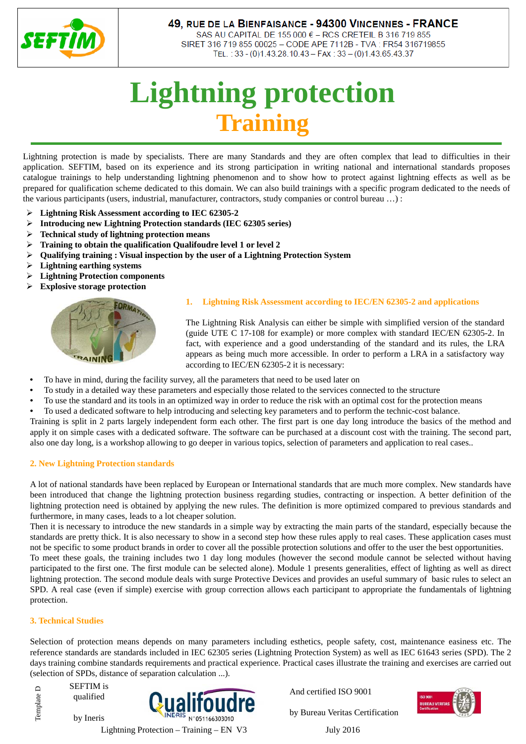

# 49, RUE DE LA BIENFAISANCE - 94300 VINCENNES - FRANCE

SAS AU CAPITAL DE 155 000 € - RCS CRETEIL B 316 719 855 SIRET 316 719 855 00025 - CODE APE 7112B - TVA : FR54 316719855 TEL.: 33 - (0)1.43.28.10.43 - FAX: 33 - (0)1.43.65.43.37

# **Lightning protection Training**

Lightning protection is made by specialists. There are many Standards and they are often complex that lead to difficulties in their application. SEFTIM, based on its experience and its strong participation in writing national and international standards proposes catalogue trainings to help understanding lightning phenomenon and to show how to protect against lightning effects as well as be prepared for qualification scheme dedicated to this domain. We can also build trainings with a specific program dedicated to the needs of the various participants (users, industrial, manufacturer, contractors, study companies or control bureau …) :

- **Lightning Risk Assessment according to IEC 62305-2**
- **Introducing new Lightning Protection standards (IEC 62305 series)**
- **Technical study of lightning protection means**
- **Training to obtain the qualification Qualifoudre level 1 or level 2**
- **Qualifying training : Visual inspection by the user of a Lightning Protection System**
- **Lightning earthing systems**
- **Lightning Protection components**
- **Explosive storage protection**



## **1. Lightning Risk Assessment according to IEC/EN 62305-2 and applications**

The Lightning Risk Analysis can either be simple with simplified version of the standard (guide UTE C 17-108 for example) or more complex with standard IEC/EN 62305-2. In fact, with experience and a good understanding of the standard and its rules, the LRA appears as being much more accessible. In order to perform a LRA in a satisfactory way according to IEC/EN 62305-2 it is necessary:

- To have in mind, during the facility survey, all the parameters that need to be used later on
- To study in a detailed way these parameters and especially those related to the services connected to the structure
- To use the standard and its tools in an optimized way in order to reduce the risk with an optimal cost for the protection means
- To used a dedicated software to help introducing and selecting key parameters and to perform the technic-cost balance.

Training is split in 2 parts largely independent form each other. The first part is one day long introduce the basics of the method and apply it on simple cases with a dedicated software. The software can be purchased at a discount cost with the training. The second part, also one day long, is a workshop allowing to go deeper in various topics, selection of parameters and application to real cases..

## **2. New Lightning Protection standards**

A lot of national standards have been replaced by European or International standards that are much more complex. New standards have been introduced that change the lightning protection business regarding studies, contracting or inspection. A better definition of the lightning protection need is obtained by applying the new rules. The definition is more optimized compared to previous standards and furthermore, in many cases, leads to a lot cheaper solution.

Then it is necessary to introduce the new standards in a simple way by extracting the main parts of the standard, especially because the standards are pretty thick. It is also necessary to show in a second step how these rules apply to real cases. These application cases must not be specific to some product brands in order to cover all the possible protection solutions and offer to the user the best opportunities.

To meet these goals, the training includes two 1 day long modules (however the second module cannot be selected without having participated to the first one. The first module can be selected alone). Module 1 presents generalities, effect of lighting as well as direct lightning protection. The second module deals with surge Protective Devices and provides an useful summary of basic rules to select an SPD. A real case (even if simple) exercise with group correction allows each participant to appropriate the fundamentals of lightning protection.

## **3. Technical Studies**

Selection of protection means depends on many parameters including esthetics, people safety, cost, maintenance easiness etc. The reference standards are standards included in IEC 62305 series (Lightning Protection System) as well as IEC 61643 series (SPD). The 2 days training combine standards requirements and practical experience. Practical cases illustrate the training and exercises are carried out (selection of SPDs, distance of separation calculation ...).

SEFTIM is Template D Template Dqualified by Ineris



And certified ISO 9001



by Bureau Veritas Certification